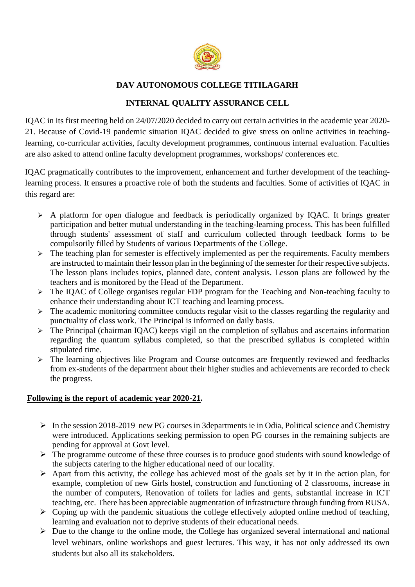

# **DAV AUTONOMOUS COLLEGE TITILAGARH**

## **INTERNAL QUALITY ASSURANCE CELL**

IQAC in its first meeting held on 24/07/2020 decided to carry out certain activities in the academic year 2020- 21. Because of Covid-19 pandemic situation IQAC decided to give stress on online activities in teachinglearning, co-curricular activities, faculty development programmes, continuous internal evaluation. Faculties are also asked to attend online faculty development programmes, workshops/ conferences etc.

IQAC pragmatically contributes to the improvement, enhancement and further development of the teachinglearning process. It ensures a proactive role of both the students and faculties. Some of activities of IQAC in this regard are:

- $\triangleright$  A platform for open dialogue and feedback is periodically organized by IQAC. It brings greater participation and better mutual understanding in the teaching-learning process. This has been fulfilled through students' assessment of staff and curriculum collected through feedback forms to be compulsorily filled by Students of various Departments of the College.
- $\triangleright$  The teaching plan for semester is effectively implemented as per the requirements. Faculty members are instructed to maintain their lesson plan in the beginning of the semester for their respective subjects. The lesson plans includes topics, planned date, content analysis. Lesson plans are followed by the teachers and is monitored by the Head of the Department.
- > The IQAC of College organises regular FDP program for the Teaching and Non-teaching faculty to enhance their understanding about ICT teaching and learning process.
- $\triangleright$  The academic monitoring committee conducts regular visit to the classes regarding the regularity and punctuality of class work. The Principal is informed on daily basis.
- $\triangleright$  The Principal (chairman IQAC) keeps vigil on the completion of syllabus and ascertains information regarding the quantum syllabus completed, so that the prescribed syllabus is completed within stipulated time.
- $\triangleright$  The learning objectives like Program and Course outcomes are frequently reviewed and feedbacks from ex-students of the department about their higher studies and achievements are recorded to check the progress.

## **Following is the report of academic year 2020-21.**

- $\triangleright$  In the session 2018-2019 new PG courses in 3departments ie in Odia, Political science and Chemistry were introduced. Applications seeking permission to open PG courses in the remaining subjects are pending for approval at Govt level.
- $\triangleright$  The programme outcome of these three courses is to produce good students with sound knowledge of the subjects catering to the higher educational need of our locality.
- $\triangleright$  Apart from this activity, the college has achieved most of the goals set by it in the action plan, for example, completion of new Girls hostel, construction and functioning of 2 classrooms, increase in the number of computers, Renovation of toilets for ladies and gents, substantial increase in ICT teaching, etc. There has been appreciable augmentation of infrastructure through funding from RUSA.
- $\triangleright$  Coping up with the pandemic situations the college effectively adopted online method of teaching, learning and evaluation not to deprive students of their educational needs.
- $\triangleright$  Due to the change to the online mode, the College has organized several international and national level webinars, online workshops and guest lectures. This way, it has not only addressed its own students but also all its stakeholders.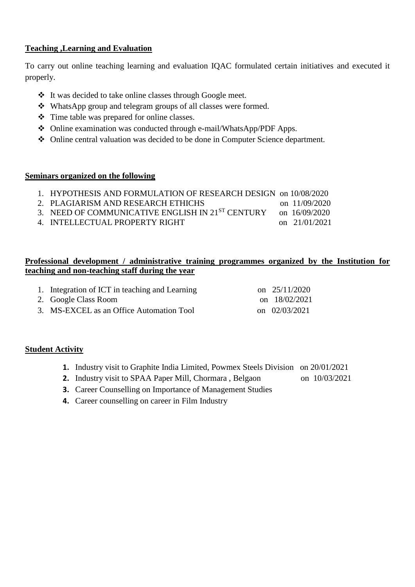## **Teaching ,Learning and Evaluation**

To carry out online teaching learning and evaluation IQAC formulated certain initiatives and executed it properly.

- It was decided to take online classes through Google meet.
- WhatsApp group and telegram groups of all classes were formed.
- Time table was prepared for online classes.
- Online examination was conducted through e-mail/WhatsApp/PDF Apps.
- Online central valuation was decided to be done in Computer Science department.

#### **Seminars organized on the following**

| 1. HYPOTHESIS AND FORMULATION OF RESEARCH DESIGN on 10/08/2020 |  |
|----------------------------------------------------------------|--|
|                                                                |  |

- 2. PLAGIARISM AND RESEARCH ETHICHS on 11/09/2020 3. NEED OF COMMUNICATIVE ENGLISH IN 21<sup>ST</sup> CENTURY on 16/09/2020
- 4. INTELLECTUAL PROPERTY RIGHT on 21/01/2021

## **Professional development / administrative training programmes organized by the Institution for teaching and non-teaching staff during the year**

| 1. Integration of ICT in teaching and Learning | on $25/11/2020$ |
|------------------------------------------------|-----------------|
| 2. Google Class Room                           | on 18/02/2021   |
| 3. MS-EXCEL as an Office Automation Tool       | on 02/03/2021   |

## **Student Activity**

- **1.** Industry visit to Graphite India Limited, Powmex Steels Division on 20/01/2021
- **2.** Industry visit to SPAA Paper Mill, Chormara, Belgaon on 10/03/2021
- **3.** Career Counselling on Importance of Management Studies
- **4.** Career counselling on career in Film Industry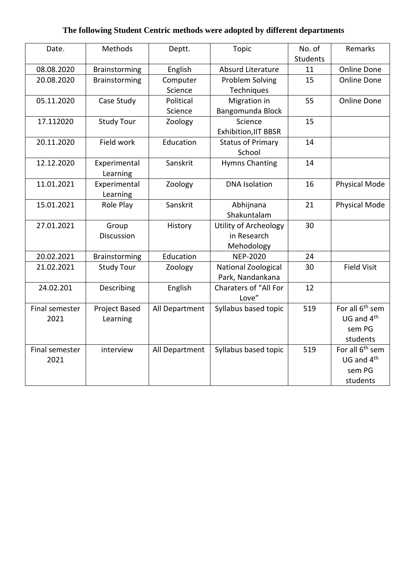# **The following Student Centric methods were adopted by different departments**

| Date.          | Methods           | Deptt.         | <b>Topic</b>                 | No. of<br><b>Students</b> | Remarks                     |
|----------------|-------------------|----------------|------------------------------|---------------------------|-----------------------------|
| 08.08.2020     | Brainstorming     | English        | Absurd Literature            | 11                        | <b>Online Done</b>          |
| 20.08.2020     | Brainstorming     | Computer       | Problem Solving              | 15                        | <b>Online Done</b>          |
|                |                   | Science        | Techniques                   |                           |                             |
| 05.11.2020     | Case Study        | Political      | Migration in                 | 55                        | <b>Online Done</b>          |
|                |                   | Science        | Bangomunda Block             |                           |                             |
| 17.112020      | <b>Study Tour</b> | Zoology        | Science                      | 15                        |                             |
|                |                   |                | <b>Exhibition, IIT BBSR</b>  |                           |                             |
| 20.11.2020     | Field work        | Education      | <b>Status of Primary</b>     | 14                        |                             |
|                |                   |                | School                       |                           |                             |
| 12.12.2020     | Experimental      | Sanskrit       | <b>Hymns Chanting</b>        | 14                        |                             |
|                | Learning          |                |                              |                           |                             |
| 11.01.2021     | Experimental      | Zoology        | <b>DNA</b> Isolation         | 16                        | Physical Mode               |
|                | Learning          |                |                              |                           |                             |
| 15.01.2021     | Role Play         | Sanskrit       | Abhijnana                    | 21                        | Physical Mode               |
|                |                   |                | Shakuntalam                  |                           |                             |
| 27.01.2021     | Group             | History        | Utility of Archeology        | 30                        |                             |
|                | Discussion        |                | in Research                  |                           |                             |
|                |                   |                | Mehodology                   |                           |                             |
| 20.02.2021     | Brainstorming     | Education      | <b>NEP-2020</b>              | 24                        |                             |
| 21.02.2021     | <b>Study Tour</b> | Zoology        | National Zoological          | 30                        | <b>Field Visit</b>          |
|                |                   |                | Park, Nandankana             |                           |                             |
| 24.02.201      | Describing        | English        | <b>Charaters of "All For</b> | 12                        |                             |
|                |                   |                | Love"                        |                           |                             |
| Final semester | Project Based     | All Department | Syllabus based topic         | 519                       | For all 6 <sup>th</sup> sem |
| 2021           | Learning          |                |                              |                           | UG and 4 <sup>th</sup>      |
|                |                   |                |                              |                           | sem PG                      |
|                |                   |                |                              |                           | students                    |
| Final semester | interview         | All Department | Syllabus based topic         | 519                       | For all 6 <sup>th</sup> sem |
| 2021           |                   |                |                              |                           | UG and 4 <sup>th</sup>      |
|                |                   |                |                              |                           | sem PG                      |
|                |                   |                |                              |                           | students                    |